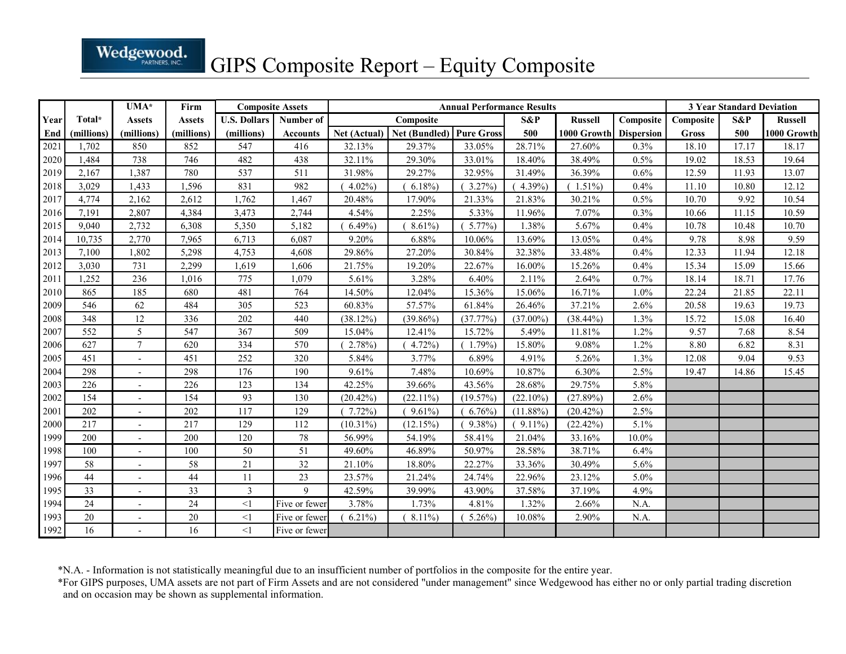|              |                | Wedgewood.            |                       |                         |               |                    |                                          |                                   |                      |                        |                 |                                  |                |                |
|--------------|----------------|-----------------------|-----------------------|-------------------------|---------------|--------------------|------------------------------------------|-----------------------------------|----------------------|------------------------|-----------------|----------------------------------|----------------|----------------|
|              |                |                       |                       |                         |               |                    | GIPS Composite Report – Equity Composite |                                   |                      |                        |                 |                                  |                |                |
| Year         | Total*         | UMA*<br><b>Assets</b> | Firm<br><b>Assets</b> | <b>Composite Assets</b> |               |                    |                                          | <b>Annual Performance Results</b> |                      |                        |                 | <b>3 Year Standard Deviation</b> |                |                |
|              |                |                       |                       | <b>U.S. Dollars</b>     | Number of     |                    | Composite                                |                                   | S&P                  | <b>Russell</b>         | Composite       | Composite                        | S&P            | <b>Russell</b> |
| End          | (millions)     | (millions)            | (millions)            | (millions)              | Accounts      | Net (Actual)       | Net (Bundled) Pure Gross                 |                                   | 500                  | 1000 Growth Dispersion |                 | Gross                            | 500            | 1000 Growth    |
| 2021<br>2020 | 1,702<br>1,484 | 850<br>738            | 852<br>746            | 547<br>482              | 416<br>438    | 32.13%<br>32.11%   | 29.37%<br>29.30%                         | 33.05%<br>33.01%                  | 28.71%<br>18.40%     | 27.60%<br>38.49%       | $0.3\%$<br>0.5% | 18.10<br>19.02                   | 17.17<br>18.53 | 18.17<br>19.64 |
| 2019         | 2,167          | 1,387                 | 780                   | 537                     | 511           | 31.98%             | 29.27%                                   | 32.95%                            | 31.49%               | 36.39%                 | 0.6%            | 12.59                            | 11.93          | 13.07          |
| 2018         | 3,029          | 1,433                 | 1,596                 | 831                     | 982           | $(4.02\%)$         | $6.18\%$                                 | $(3.27\%)$                        | $(4.39\%)$           | $(1.51\%)$             | 0.4%            | 11.10                            | 10.80          | 12.12          |
| 2017         | 4,774          | 2,162                 | 2,612                 | 1,762                   | 1,467         | 20.48%             | 17.90%                                   | 21.33%                            | 21.83%               | 30.21%                 | 0.5%            | 10.70                            | 9.92           | 10.54          |
| 2016         | 7,191          | 2,807                 | 4,384                 | 3,473                   | 2,744         | 4.54%              | 2.25%                                    | 5.33%                             | 11.96%               | 7.07%                  | 0.3%            | 10.66                            | 11.15          | 10.59          |
| 2015         | 9,040          | 2,732                 | 6,308                 | 5,350                   | 5,182         | $6.49\%$           | $(8.61\%$                                | $(5.77\%)$                        | 1.38%                | 5.67%                  | 0.4%            | 10.78                            | 10.48          | 10.70          |
| 2014         | 10,735         | 2,770                 | 7,965                 | 6,713                   | 6,087         | 9.20%              | 6.88%                                    | 10.06%                            | 13.69%               | 13.05%                 | 0.4%            | 9.78                             | 8.98           | 9.59           |
| 2013         | 7,100          | 1,802                 | 5,298                 | 4,753                   | 4,608         | 29.86%             | 27.20%                                   | 30.84%                            | 32.38%               | 33.48%                 | 0.4%            | 12.33                            | 11.94          | 12.18          |
| 2012         | 3,030          | 731                   | 2,299                 | 1,619                   | 1,606         | 21.75%             | 19.20%                                   | 22.67%                            | 16.00%               | 15.26%                 | 0.4%            | 15.34                            | 15.09          | 15.66          |
| 201          | 1,252          | 236                   | 1,016                 | 775                     | 1,079         | 5.61%              | 3.28%                                    | 6.40%                             | 2.11%                | 2.64%                  | 0.7%            | 18.14                            | 18.71          | 17.76          |
| 2010         | 865            | 185                   | 680                   | 481                     | 764           | 14.50%             | 12.04%                                   | 15.36%                            | 15.06%               | 16.71%                 | $1.0\%$         | 22.24                            | 21.85          | 22.11          |
| 2009         | 546            | 62                    | 484                   | 305                     | 523           | 60.83%             | 57.57%                                   | 61.84%                            | 26.46%               | 37.21%                 | 2.6%            | 20.58                            | 19.63          | 19.73          |
| 2008<br>2007 | 348<br>552     | 12<br>5               | 336<br>547            | 202<br>367              | 440<br>509    | (38.12%)<br>15.04% | $(39.86\%)$<br>12.41%                    | (37.77%)<br>15.72%                | $(37.00\%)$<br>5.49% | $(38.44\%)$<br>11.81%  | 1.3%<br>1.2%    | 15.72<br>9.57                    | 15.08<br>7.68  | 16.40<br>8.54  |
| 2006         | 627            | $\tau$                | 620                   | 334                     | 570           | (2.78%)            | $(4.72\%)$                               | $(1.79\%)$                        | 15.80%               | 9.08%                  | 1.2%            | 8.80                             | 6.82           | 8.31           |
| 2005         | 451            | $\sim$                | 451                   | 252                     | 320           | 5.84%              | 3.77%                                    | 6.89%                             | 4.91%                | 5.26%                  | 1.3%            | 12.08                            | 9.04           | 9.53           |
| 2004         | 298            | $\sim$                | 298                   | 176                     | 190           | 9.61%              | 7.48%                                    | 10.69%                            | $10.87\%$            | 6.30%                  | 2.5%            | 19.47                            | 14.86          | 15.45          |
| 2003         | 226            |                       | 226                   | 123                     | 134           | 42.25%             | 39.66%                                   | 43.56%                            | 28.68%               | 29.75%                 | 5.8%            |                                  |                |                |
| 2002         | 154            | $\sim$                | 154                   | 93                      | 130           | $(20.42\%)$        | $(22.11\%)$                              | $(19.57\%)$                       | $(22.10\%)$          | (27.89%)               | 2.6%            |                                  |                |                |
| 2001         | 202            | $\sim$                | 202                   | 117                     | 129           | $(7.72\%)$         | $(9.61\%)$                               | $(6.76\%)$                        | $(11.88\%)$          | $(20.42\%)$            | 2.5%            |                                  |                |                |
| 2000         | 217            | $\sim$                | 217                   | 129                     | 112           | $(10.31\%)$        | (12.15%)                                 | $(9.38\%)$                        | $(9.11\%)$           | (22.42%)               | 5.1%            |                                  |                |                |
| 1999         | 200            | $\sim$                | 200                   | 120                     | $78\,$        | 56.99%             | 54.19%                                   | 58.41%                            | 21.04%               | 33.16%                 | $10.0\%$        |                                  |                |                |
| 1998         | 100            |                       | 100                   | 50                      | 51            | 49.60%             | 46.89%                                   | 50.97%                            | 28.58%               | 38.71%                 | 6.4%            |                                  |                |                |
| 1997         | 58             |                       | 58                    | 21                      | 32            | 21.10%             | 18.80%                                   | 22.27%                            | 33.36%               | 30.49%                 | 5.6%            |                                  |                |                |
| 1996<br>1995 | 44<br>33       | $\sim$                | 44<br>33              | 11<br>$\overline{3}$    | 23<br>-9      | 23.57%<br>42.59%   | 21.24%<br>39.99%                         | 24.74%<br>43.90%                  | 22.96%<br>37.58%     | 23.12%<br>37.19%       | 5.0%<br>4.9%    |                                  |                |                |
| 1994         | 24             | $\sim$                | 24                    | $\leq$ 1                | Five or fewer | 3.78%              | 1.73%                                    | 4.81%                             | 1.32%                | 2.66%                  | N.A.            |                                  |                |                |
| 1993         | 20             | $\sim$                | 20                    | $\leq$ 1                | Five or fewer | $6.21\%$           | $(8.11\%)$                               | $(5.26\%)$                        | 10.08%               | 2.90%                  | N.A.            |                                  |                |                |
| 1992         | 16             | $\overline{a}$        | 16                    | $<$ 1                   | Five or fewer |                    |                                          |                                   |                      |                        |                 |                                  |                |                |